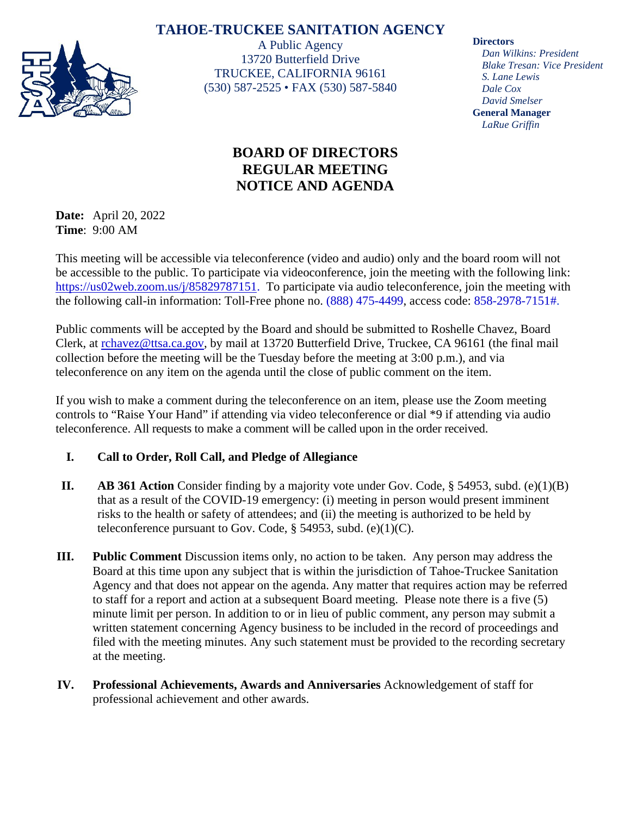# **TAHOE-TRUCKEE SANITATION AGENCY**



A Public Agency 13720 Butterfield Drive TRUCKEE, CALIFORNIA 96161 (530) 587-2525 • FAX (530) 587-5840

# **BOARD OF DIRECTORS REGULAR MEETING NOTICE AND AGENDA**

**Date:** April 20, 2022 **Time**: 9:00 AM

This meeting will be accessible via teleconference (video and audio) only and the board room will not be accessible to the public. To participate via videoconference, join the meeting with the following link: [https://us02web.zoom.us/j/85829787151.](https://us02web.zoom.us/j/85829787151) To participate via audio teleconference, join the meeting with the following call-in information: Toll-Free phone no. (888) 475-4499, access code: 858-2978-7151#.

Public comments will be accepted by the Board and should be submitted to Roshelle Chavez, Board Clerk, at [rchavez@ttsa.c](mailto:rchavez@ttsa.)a.gov, by mail at 13720 Butterfield Drive, Truckee, CA 96161 (the final mail collection before the meeting will be the Tuesday before the meeting at 3:00 p.m.), and via teleconference on any item on the agenda until the close of public comment on the item.

If you wish to make a comment during the teleconference on an item, please use the Zoom meeting controls to "Raise Your Hand" if attending via video teleconference or dial \*9 if attending via audio teleconference. All requests to make a comment will be called upon in the order received.

## **I. Call to Order, Roll Call, and Pledge of Allegiance**

- **II. AB 361 Action** Consider finding by a majority vote under Gov. Code,  $\S$  54953, subd. (e)(1)(B) that as a result of the COVID-19 emergency: (i) meeting in person would present imminent risks to the health or safety of attendees; and (ii) the meeting is authorized to be held by teleconference pursuant to Gov. Code,  $\S$  54953, subd. (e)(1)(C).
- **III. Public Comment** Discussion items only, no action to be taken. Any person may address the Board at this time upon any subject that is within the jurisdiction of Tahoe-Truckee Sanitation Agency and that does not appear on the agenda. Any matter that requires action may be referred to staff for a report and action at a subsequent Board meeting. Please note there is a five (5) minute limit per person. In addition to or in lieu of public comment, any person may submit a written statement concerning Agency business to be included in the record of proceedings and filed with the meeting minutes. Any such statement must be provided to the recording secretary at the meeting.
- **IV. Professional Achievements, Awards and Anniversaries** Acknowledgement of staff for professional achievement and other awards.

**Directors**

*Dan Wilkins: President Blake Tresan: Vice President S. Lane Lewis Dale Cox David Smelser* **General Manager** *LaRue Griffin*